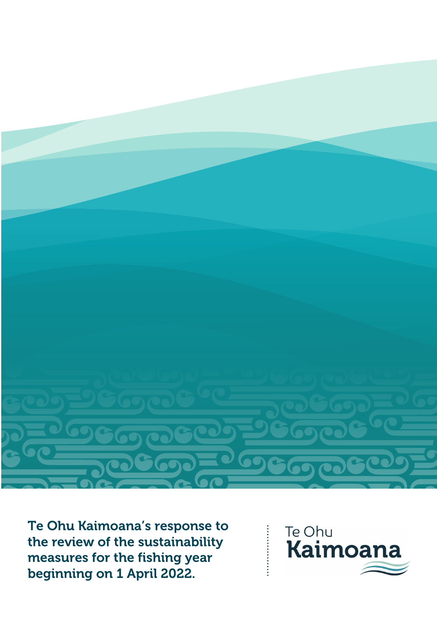

Te Ohu Kaimoana's response to the review of the sustainability measures for the fishing year beginning on 1 April 2022.



...............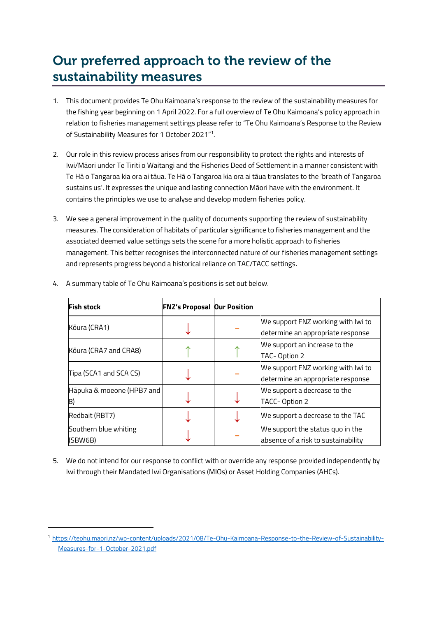# Our preferred approach to the review of the sustainability measures

- 1. This document provides Te Ohu Kaimoana's response to the review of the sustainability measures for the fishing year beginning on 1 April 2022. For a full overview of Te Ohu Kaimoana's policy approach in relation to fisheries management settings please refer to "Te Ohu Kaimoana's Response to the Review of Sustainability Measures for 1 October 2021"<sup>1</sup> .
- 2. Our role in this review process arises from our responsibility to protect the rights and interests of Iwi/Māori under Te Tiriti o Waitangi and the Fisheries Deed of Settlement in a manner consistent with Te Hā o Tangaroa kia ora ai tāua. Te Hā o Tangaroa kia ora ai tāua translates to the 'breath of Tangaroa sustains us'. It expresses the unique and lasting connection Māori have with the environment. It contains the principles we use to analyse and develop modern fisheries policy.
- 3. We see a general improvement in the quality of documents supporting the review of sustainability measures. The consideration of habitats of particular significance to fisheries management and the associated deemed value settings sets the scene for a more holistic approach to fisheries management. This better recognises the interconnected nature of our fisheries management settings and represents progress beyond a historical reliance on TAC/TACC settings.

| <b>Fish stock</b>                | <b>FNZ's Proposal Our Position</b> |                                                                         |
|----------------------------------|------------------------------------|-------------------------------------------------------------------------|
| Kōura (CRA1)                     |                                    | We support FNZ working with Iwi to<br>determine an appropriate response |
| Kōura (CRA7 and CRA8)            |                                    | We support an increase to the<br>TAC-Option 2                           |
| Tipa (SCA1 and SCA CS)           |                                    | We support FNZ working with Iwi to<br>determine an appropriate response |
| Hāpuka & moeone (HPB7 and<br>8)  |                                    | We support a decrease to the<br>TACC-Option 2                           |
| Redbait (RBT7)                   |                                    | We support a decrease to the TAC                                        |
| Southern blue whiting<br>(SBW6B) |                                    | We support the status quo in the<br>absence of a risk to sustainability |

4. A summary table of Te Ohu Kaimoana's positions is set out below.

5. We do not intend for our response to conflict with or override any response provided independently by Iwi through their Mandated Iwi Organisations (MIOs) or Asset Holding Companies (AHCs).

<sup>1</sup> [https://teohu.maori.nz/wp-content/uploads/2021/08/Te-Ohu-Kaimoana-Response-to-the-Review-of-Sustainability-](https://teohu.maori.nz/wp-content/uploads/2021/08/Te-Ohu-Kaimoana-Response-to-the-Review-of-Sustainability-Measures-for-1-October-2021.pdf)[Measures-for-1-October-2021.pdf](https://teohu.maori.nz/wp-content/uploads/2021/08/Te-Ohu-Kaimoana-Response-to-the-Review-of-Sustainability-Measures-for-1-October-2021.pdf)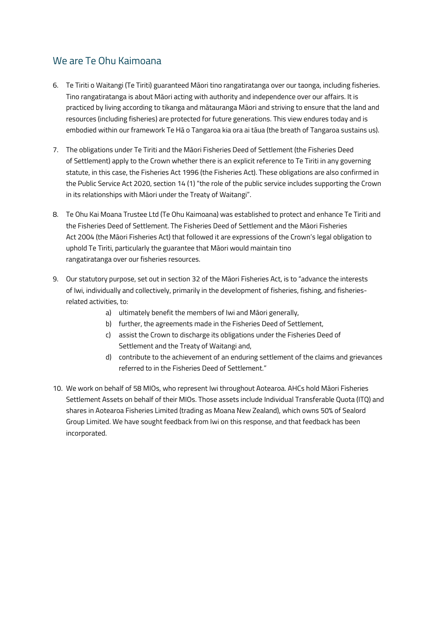# We are Te Ohu Kaimoana

- 6. Te Tiriti o Waitangi (Te Tiriti) guaranteed Māori tino rangatiratanga over our taonga, including fisheries. Tino rangatiratanga is about Māori acting with authority and independence over our affairs. It is practiced by living according to tikanga and mātauranga Māori and striving to ensure that the land and resources (including fisheries) are protected for future generations. This view endures today and is embodied within our framework Te Hā o Tangaroa kia ora ai tāua (the breath of Tangaroa sustains us).
- 7. The obligations under Te Tiriti and the Māori Fisheries Deed of Settlement (the Fisheries Deed of Settlement) apply to the Crown whether there is an explicit reference to Te Tiriti in any governing statute, in this case, the Fisheries Act 1996 (the Fisheries Act). These obligations are also confirmed in the Public Service Act 2020, section 14 (1) "the role of the public service includes supporting the Crown in its relationships with Māori under the Treaty of Waitangi".
- 8. Te Ohu Kai Moana Trustee Ltd (Te Ohu Kaimoana) was established to protect and enhance Te Tiriti and the Fisheries Deed of Settlement. The Fisheries Deed of Settlement and the Māori Fisheries Act 2004 (the Māori Fisheries Act) that followed it are expressions of the Crown's legal obligation to uphold Te Tiriti, particularly the guarantee that Māori would maintain tino rangatiratanga over our fisheries resources.
- 9. Our statutory purpose, set out in section 32 of the Māori Fisheries Act, is to "advance the interests of Iwi, individually and collectively, primarily in the development of fisheries, fishing, and fisheriesrelated activities, to:
	- a) ultimately benefit the members of Iwi and Māori generally,
	- b) further, the agreements made in the Fisheries Deed of Settlement,
	- c) assist the Crown to discharge its obligations under the Fisheries Deed of Settlement and the Treaty of Waitangi and,
	- d) contribute to the achievement of an enduring settlement of the claims and grievances referred to in the Fisheries Deed of Settlement."
- 10. We work on behalf of 58 MIOs, who represent Iwi throughout Aotearoa. AHCs hold Māori Fisheries Settlement Assets on behalf of their MIOs. Those assets include Individual Transferable Quota (ITQ) and shares in Aotearoa Fisheries Limited (trading as Moana New Zealand), which owns 50% of Sealord Group Limited. We have sought feedback from Iwi on this response, and that feedback has been incorporated.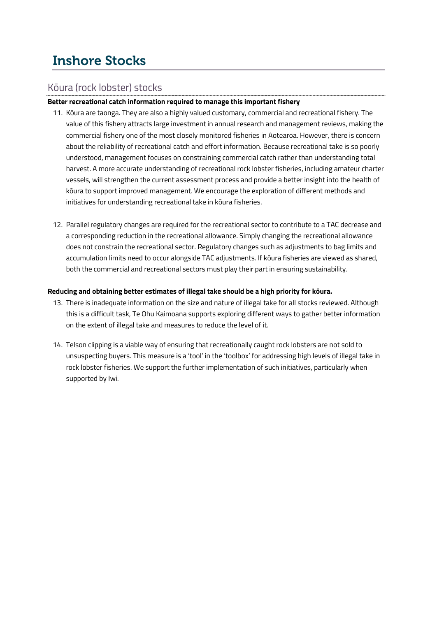# Inshore Stocks

# Kōura (rock lobster) stocks

# **Better recreational catch information required to manage this important fishery**

- 11. Kōura are taonga. They are also a highly valued customary, commercial and recreational fishery. The value of this fishery attracts large investment in annual research and management reviews, making the commercial fishery one of the most closely monitored fisheries in Aotearoa. However, there is concern about the reliability of recreational catch and effort information. Because recreational take is so poorly understood, management focuses on constraining commercial catch rather than understanding total harvest. A more accurate understanding of recreational rock lobster fisheries, including amateur charter vessels, will strengthen the current assessment process and provide a better insight into the health of kōura to support improved management. We encourage the exploration of different methods and initiatives for understanding recreational take in kōura fisheries.
- 12. Parallel regulatory changes are required for the recreational sector to contribute to a TAC decrease and a corresponding reduction in the recreational allowance. Simply changing the recreational allowance does not constrain the recreational sector. Regulatory changes such as adjustments to bag limits and accumulation limits need to occur alongside TAC adjustments. If kōura fisheries are viewed as shared, both the commercial and recreational sectors must play their part in ensuring sustainability.

## **Reducing and obtaining better estimates of illegal take should be a high priority for kōura.**

- 13. There is inadequate information on the size and nature of illegal take for all stocks reviewed. Although this is a difficult task, Te Ohu Kaimoana supports exploring different ways to gather better information on the extent of illegal take and measures to reduce the level of it.
- 14. Telson clipping is a viable way of ensuring that recreationally caught rock lobsters are not sold to unsuspecting buyers. This measure is a 'tool' in the 'toolbox' for addressing high levels of illegal take in rock lobster fisheries. We support the further implementation of such initiatives, particularly when supported by Iwi.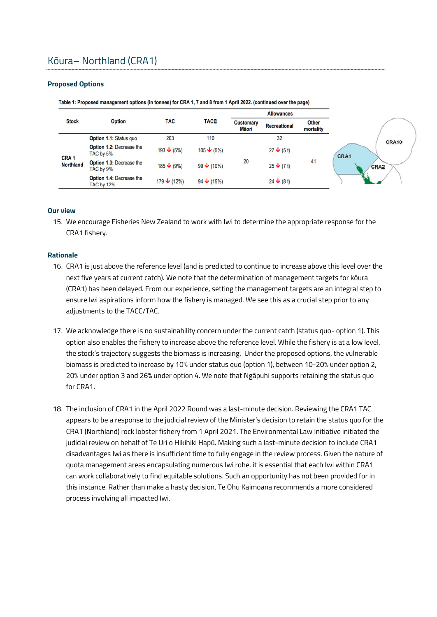# Kōura– Northland (CRA1)

#### **Proposed Options**

|                                      |                                               |                      |                       |                           | <b>Allowances</b>     |                           |       |
|--------------------------------------|-----------------------------------------------|----------------------|-----------------------|---------------------------|-----------------------|---------------------------|-------|
| <b>Stock</b>                         | <b>Option</b>                                 | <b>TAC</b>           | <b>TACC</b>           | <b>Customary</b><br>Māori | <b>Recreational</b>   | <b>Other</b><br>mortality |       |
|                                      | Option 1.1: Status quo                        | 203                  | 110                   |                           | 32                    |                           | CRA10 |
|                                      | <b>Option 1.2: Decrease the</b><br>TAC by 5%  | $193 \div (5\%)$     | $105 \bigvee (5\%)$   |                           | $27 \div (5 t)$       |                           | CRA1  |
| CRA <sub>1</sub><br><b>Northland</b> | <b>Option 1.3: Decrease the</b><br>TAC by 9%  | $185 \div (9\%)$     | 99 $\bigvee$ (10%)    | 20                        | $25 \bigvee (7 \, t)$ | 41                        | CRA2  |
|                                      | Option 1.4: Decrease the<br><b>TAC by 12%</b> | $179 \bigvee (12\%)$ | $94 \t\bigvee (15\%)$ |                           |                       |                           |       |

Table 1: Proposed management options (in tonnes) for CRA 1, 7 and 8 from 1 April 2022. (continued over the page)

#### **Our view**

15. We encourage Fisheries New Zealand to work with Iwi to determine the appropriate response for the CRA1 fishery.

#### **Rationale**

- 16. CRA1 is just above the reference level (and is predicted to continue to increase above this level over the next five years at current catch). We note that the determination of management targets for kōura (CRA1) has been delayed. From our experience, setting the management targets are an integral step to ensure Iwi aspirations inform how the fishery is managed. We see this as a crucial step prior to any adjustments to the TACC/TAC.
- 17. We acknowledge there is no sustainability concern under the current catch (status quo- option 1). This option also enables the fishery to increase above the reference level. While the fishery is at a low level, the stock's trajectory suggests the biomass is increasing. Under the proposed options, the vulnerable biomass is predicted to increase by 10% under status quo (option 1), between 10-20% under option 2, 20% under option 3 and 26% under option 4. We note that Ngāpuhi supports retaining the status quo for CRA1.
- 18. The inclusion of CRA1 in the April 2022 Round was a last-minute decision. Reviewing the CRA1 TAC appears to be a response to the judicial review of the Minister's decision to retain the status quo for the CRA1 (Northland) rock lobster fishery from 1 April 2021. The Environmental Law Initiative initiated the judicial review on behalf of Te Uri o Hikihiki Hapū. Making such a last-minute decision to include CRA1 disadvantages Iwi as there is insufficient time to fully engage in the review process. Given the nature of quota management areas encapsulating numerous Iwi rohe, it is essential that each Iwi within CRA1 can work collaboratively to find equitable solutions. Such an opportunity has not been provided for in this instance. Rather than make a hasty decision, Te Ohu Kaimoana recommends a more considered process involving all impacted Iwi.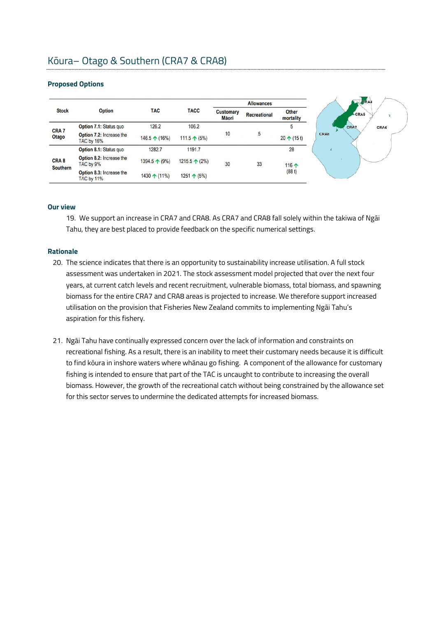## **Proposed Options**

|                                     |                                               |                        |                        |                           | <b>Allowances</b>   |                           |
|-------------------------------------|-----------------------------------------------|------------------------|------------------------|---------------------------|---------------------|---------------------------|
| <b>Stock</b>                        | <b>Option</b>                                 | <b>TAC</b>             | <b>TACC</b>            | <b>Customary</b><br>Māori | <b>Recreational</b> | <b>Other</b><br>mortality |
|                                     | Option 7.1: Status quo                        | 126.2                  | 106.2                  |                           |                     | 5                         |
| CRA <sub>7</sub><br>Otago           | Option 7.2: Increase the<br><b>TAC by 16%</b> | 146.5 $\uparrow$ (16%) | 111.5 $\uparrow$ (5%)  | 10                        | 5                   | $20 \uparrow (15t)$       |
|                                     | Option 8.1: Status quo                        | 1282.7                 | 1191.7                 |                           |                     | 28                        |
| CRA <sub>8</sub><br><b>Southern</b> | Option 8.2: Increase the<br>TAC by 9%         | 1394.5 ↑ (9%)          | 1215.5 $\uparrow$ (2%) | 30                        | 33                  | 116 个                     |
|                                     | Option 8.3: Increase the<br><b>TAC by 11%</b> | 1430 $\uparrow$ (11%)  | 1251 $\uparrow$ (5%)   |                           |                     | (88 t)                    |

#### **Our view**

19. We support an increase in CRA7 and CRA8. As CRA7 and CRA8 fall solely within the takiwa of Ngāi Tahu, they are best placed to provide feedback on the specific numerical settings.

## **Rationale**

- 20. The science indicates that there is an opportunity to sustainability increase utilisation. A full stock assessment was undertaken in 2021. The stock assessment model projected that over the next four years, at current catch levels and recent recruitment, vulnerable biomass, total biomass, and spawning biomass for the entire CRA7 and CRA8 areas is projected to increase. We therefore support increased utilisation on the provision that Fisheries New Zealand commits to implementing Ngāi Tahu's aspiration for this fishery.
- 21. Ngāi Tahu have continually expressed concern over the lack of information and constraints on recreational fishing. As a result, there is an inability to meet their customary needs because it is difficult to find kōura in inshore waters where whānau go fishing. A component of the allowance for customary fishing is intended to ensure that part of the TAC is uncaught to contribute to increasing the overall biomass. However, the growth of the recreational catch without being constrained by the allowance set for this sector serves to undermine the dedicated attempts for increased biomass.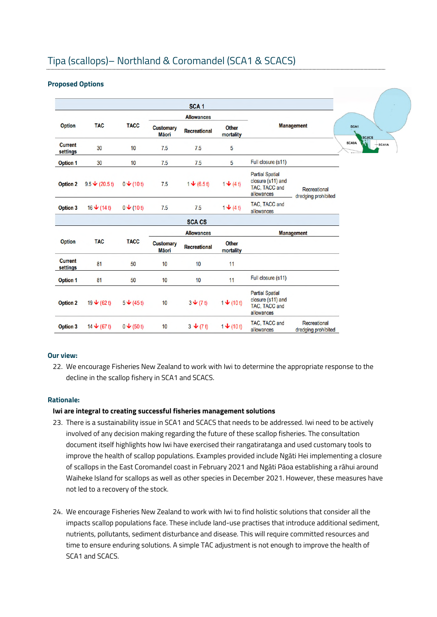# Tipa (scallops)– Northland & Coromandel (SCA1 & SCACS)

#### **Proposed Options**

|                            |                                 |                          |                                   | SCA <sub>1</sub>                    |                           |                                                                            |                                     |
|----------------------------|---------------------------------|--------------------------|-----------------------------------|-------------------------------------|---------------------------|----------------------------------------------------------------------------|-------------------------------------|
|                            |                                 |                          |                                   | <b>Allowances</b>                   |                           |                                                                            |                                     |
| <b>Option</b>              | <b>TAC</b>                      | <b>TACC</b>              | <b>Customary</b><br><b>M</b> ãori | <b>Recreational</b>                 | <b>Other</b><br>mortality |                                                                            | <b>Management</b>                   |
| <b>Current</b><br>settings | 30                              | 10                       | 7.5                               | 7.5                                 | 5                         |                                                                            |                                     |
| <b>Option 1</b>            | 30                              | 10                       | 7.5                               | 7.5                                 | 5                         | Full closure (s11)                                                         |                                     |
| <b>Option 2</b>            | 9.5 $\bigvee$ (20.5 t)          | $0 \bigvee (101)$        | 7.5                               | $1 \bigvee (6.5 t)$                 | $1 + (4t)$                | <b>Partial Spatial</b><br>closure (s11) and<br>TAC, TACC and<br>allowances | Recreational<br>dredging prohibited |
| <b>Option 3</b>            | 16 $\blacktriangleright$ (14 t) | $0 \triangleleft (10 t)$ | 7.5                               | 7.5                                 | $1 + (4 t)$               | TAC, TACC and<br>allowances                                                |                                     |
|                            |                                 |                          |                                   | <b>SCA CS</b>                       |                           |                                                                            |                                     |
|                            |                                 |                          |                                   | <b>Allowances</b>                   |                           |                                                                            | <b>Management</b>                   |
| <b>Option</b>              | <b>TAC</b>                      | <b>TACC</b>              | <b>Customary</b><br><b>M</b> ãori | <b>Recreational</b>                 | <b>Other</b><br>mortality |                                                                            |                                     |
| <b>Current</b><br>settings | 81                              | 50                       | 10                                | 10                                  | 11                        |                                                                            |                                     |
| <b>Option 1</b>            | 81                              | 50                       | 10                                | 10                                  | 11                        | Full closure (s11)                                                         |                                     |
| <b>Option 2</b>            |                                 | $5 \bigvee (45 t)$       | 10                                | $3\blacktriangleright (7\text{ t})$ | $1 + (10t)$               | <b>Partial Spatial</b><br>closure (s11) and<br>TAC, TACC and<br>allowances |                                     |
| <b>Option 3</b>            | 14 $\div$ (67 t)                | $0 \bigvee (50 \, t)$    | 10                                | $3 \div (7 t)$                      | $1 + (10t)$               | TAC, TACC and<br>allowances                                                | Recreational<br>dredging prohibited |

#### **Our view:**

22. We encourage Fisheries New Zealand to work with Iwi to determine the appropriate response to the decline in the scallop fishery in SCA1 and SCACS.

## **Rationale:**

## **Iwi are integral to creating successful fisheries management solutions**

- 23. There is a sustainability issue in SCA1 and SCACS that needs to be addressed. Iwi need to be actively involved of any decision making regarding the future of these scallop fisheries. The consultation document itself highlights how Iwi have exercised their rangatiratanga and used customary tools to improve the health of scallop populations. Examples provided include Ngāti Hei implementing a closure of scallops in the East Coromandel coast in February 2021 and Ngāti Pāoa establishing a rāhui around Waiheke Island for scallops as well as other species in December 2021. However, these measures have not led to a recovery of the stock.
- 24. We encourage Fisheries New Zealand to work with Iwi to find holistic solutions that consider all the impacts scallop populations face. These include land-use practises that introduce additional sediment, nutrients, pollutants, sediment disturbance and disease. This will require committed resources and time to ensure enduring solutions. A simple TAC adjustment is not enough to improve the health of SCA1 and SCACS.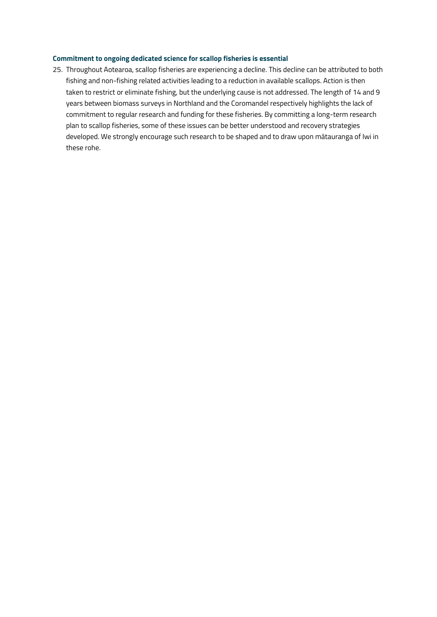### **Commitment to ongoing dedicated science for scallop fisheries is essential**

25. Throughout Aotearoa, scallop fisheries are experiencing a decline. This decline can be attributed to both fishing and non-fishing related activities leading to a reduction in available scallops. Action is then taken to restrict or eliminate fishing, but the underlying cause is not addressed. The length of 14 and 9 years between biomass surveys in Northland and the Coromandel respectively highlights the lack of commitment to regular research and funding for these fisheries. By committing a long-term research plan to scallop fisheries, some of these issues can be better understood and recovery strategies developed. We strongly encourage such research to be shaped and to draw upon mātauranga of Iwi in these rohe.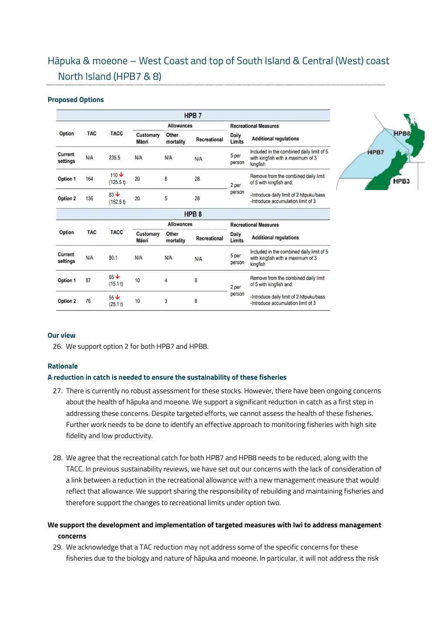# Hāpuka & moeone – West Coast and top of South Island & Central (West) coast North Island (HPB7 & 8)

#### **Proposed Options**

|                                   |            |                            |                                  |                           | HPB <sub>7</sub>    |                               |                                                                                            |  |
|-----------------------------------|------------|----------------------------|----------------------------------|---------------------------|---------------------|-------------------------------|--------------------------------------------------------------------------------------------|--|
|                                   |            |                            |                                  | <b>Allowances</b>         |                     | <b>Recreational Measures</b>  |                                                                                            |  |
| <b>Option</b>                     | <b>TAC</b> | <b>TACC</b>                | <b>Customary</b><br><b>Māori</b> | <b>Other</b><br>mortality | <b>Recreational</b> | <b>Daily</b><br><b>Limits</b> | <b>Additional regulations</b>                                                              |  |
| <b>Current</b><br>settings        | N/A        | 235.5                      | <b>N/A</b>                       | N/A                       | N/A                 | 5 per<br>person               | Included in the combined daily limit of 5<br>with kingfish with a maximum of 3<br>kingfish |  |
| <b>Option 1</b>                   | 164        | $110 \text{V}$<br>(125.5t) | 20                               | 6                         | 28                  | 2 per                         | Remove from the combined daily limit<br>of 5 with kingfish and:                            |  |
| <b>Option 2</b>                   | 136        | $83 +$<br>(152.5t)         | 20                               | 5                         | 28                  | person                        | -Introduce daily limit of 2 hapuku/bass<br>-Introduce accumulation limit of 3              |  |
|                                   |            |                            |                                  |                           | HPB <sub>8</sub>    |                               |                                                                                            |  |
|                                   |            |                            |                                  | <b>Allowances</b>         |                     | <b>Recreational Measures</b>  |                                                                                            |  |
| <b>Option</b>                     | <b>TAC</b> | <b>TACC</b>                | <b>Customary</b><br>Māori        | <b>Other</b><br>mortality | <b>Recreational</b> | <b>Daily</b><br><b>Limits</b> | <b>Additional regulations</b>                                                              |  |
| <b>Current</b><br><b>settings</b> | N/A        | 80.1                       | N/A                              | N/A                       | N/A                 | 5 per<br>person               | Included in the combined daily limit of 5<br>with kingfish with a maximum of 3<br>kingfish |  |
| <b>Option 1</b>                   | 87         | $65 +$<br>(15.1 t)         | 10                               | 4                         | 8                   | 2 per                         | Remove from the combined daily limit<br>of 5 with kingfish and:                            |  |
| <b>Option 2</b>                   | 76         | $55 +$<br>(25.1 t)         | 10                               | 3                         | 8                   | person                        | -Introduce daily limit of 2 hapuku/bass<br>-Introduce accumulation limit of 3              |  |



#### **Our view**

26. We support option 2 for both HPB7 and HPB8.

#### **Rationale**

### **A reduction in catch is needed to ensure the sustainability of these fisheries**

- 27. There is currently no robust assessment for these stocks. However, there have been ongoing concerns about the health of hāpuka and moeone. We support a significant reduction in catch as a first step in addressing these concerns. Despite targeted efforts, we cannot assess the health of these fisheries. Further work needs to be done to identify an effective approach to monitoring fisheries with high site fidelity and low productivity.
- 28. We agree that the recreational catch for both HPB7 and HPB8 needs to be reduced, along with the TACC. In previous sustainability reviews, we have set out our concerns with the lack of consideration of a link between a reduction in the recreational allowance with a new management measure that would reflect that allowance. We support sharing the responsibility of rebuilding and maintaining fisheries and therefore support the changes to recreational limits under option two.

# **We support the development and implementation of targeted measures with Iwi to address management concerns**

29. We acknowledge that a TAC reduction may not address some of the specific concerns for these fisheries due to the biology and nature of hāpuka and moeone. In particular, it will not address the risk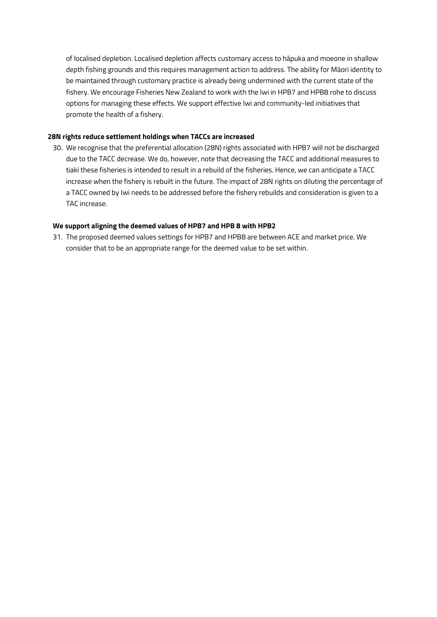of localised depletion. Localised depletion affects customary access to hāpuka and moeone in shallow depth fishing grounds and this requires management action to address. The ability for Māori identity to be maintained through customary practice is already being undermined with the current state of the fishery. We encourage Fisheries New Zealand to work with the Iwi in HPB7 and HPB8 rohe to discuss options for managing these effects. We support effective Iwi and community-led initiatives that promote the health of a fishery.

#### **28N rights reduce settlement holdings when TACCs are increased**

30. We recognise that the preferential allocation (28N) rights associated with HPB7 will not be discharged due to the TACC decrease. We do, however, note that decreasing the TACC and additional measures to tiaki these fisheries is intended to result in a rebuild of the fisheries. Hence, we can anticipate a TACC increase when the fishery is rebuilt in the future. The impact of 28N rights on diluting the percentage of a TACC owned by Iwi needs to be addressed before the fishery rebuilds and consideration is given to a TAC increase.

#### **We support aligning the deemed values of HPB7 and HPB 8 with HPB2**

31. The proposed deemed values settings for HPB7 and HPB8 are between ACE and market price. We consider that to be an appropriate range for the deemed value to be set within.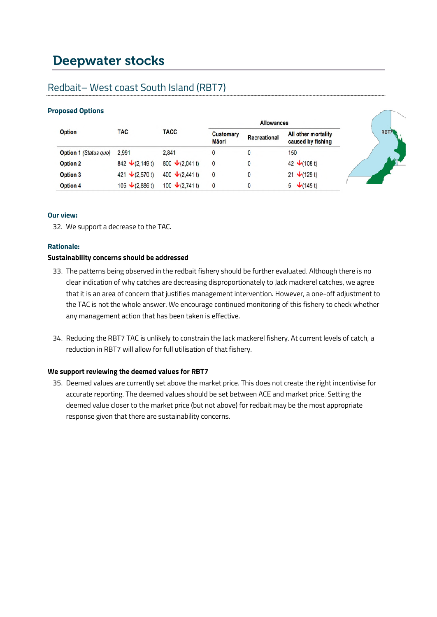# Deepwater stocks

# Redbait– West coast South Island (RBT7)

# **Proposed Options**

| <b>Option</b>         | <b>TAC</b>                     | <b>TACC</b>             | <b>Customary</b><br>Māori | <b>Recreational</b> | All other mortality<br>caused by fishing | <b>RBTA</b> |
|-----------------------|--------------------------------|-------------------------|---------------------------|---------------------|------------------------------------------|-------------|
| Option 1 (Status quo) | 2.991                          | 2.841                   |                           |                     | 150                                      |             |
| <b>Option 2</b>       | 842 $\bigvee$ (2,149 t)        | 800 $\bigvee$ (2,041 t) | 0                         |                     | 42 $\sqrt{(108 \text{ t})}$              |             |
| Option 3              | 421 $\sqrt{(2,570 \text{ t})}$ | 400 $\bigvee$ (2,441 t) | 0                         | 0                   | 21 $\sqrt{(129 t)}$                      |             |
| Option 4              | 105 $\bigvee$ (2,886 t)        | 100 $\bigvee$ (2,741 t) |                           |                     | $5 \quad \sqrt{(145 \text{ t})}$         |             |

 $\sqrt{2}$ 

### **Our view:**

32. We support a decrease to the TAC.

### **Rationale:**

## **Sustainability concerns should be addressed**

- 33. The patterns being observed in the redbait fishery should be further evaluated. Although there is no clear indication of why catches are decreasing disproportionately to Jack mackerel catches, we agree that it is an area of concern that justifies management intervention. However, a one-off adjustment to the TAC is not the whole answer. We encourage continued monitoring of this fishery to check whether any management action that has been taken is effective.
- 34. Reducing the RBT7 TAC is unlikely to constrain the Jack mackerel fishery. At current levels of catch, a reduction in RBT7 will allow for full utilisation of that fishery.

## **We support reviewing the deemed values for RBT7**

35. Deemed values are currently set above the market price. This does not create the right incentivise for accurate reporting. The deemed values should be set between ACE and market price. Setting the deemed value closer to the market price (but not above) for redbait may be the most appropriate response given that there are sustainability concerns.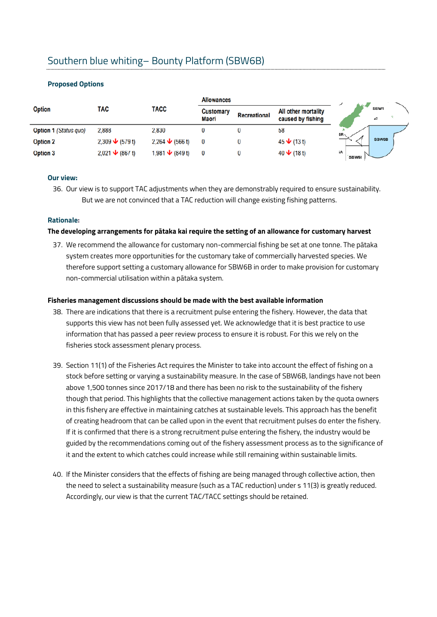# Southern blue whiting– Bounty Platform (SBW6B)

### **Proposed Options**

|                              |                                 |                                     | <b>Allowances</b>         |                     |                                          |                     |              |
|------------------------------|---------------------------------|-------------------------------------|---------------------------|---------------------|------------------------------------------|---------------------|--------------|
| <b>Option</b>                | TAC                             | <b>TACC</b>                         | <b>Customary</b><br>Māori | <b>Recreational</b> | All other mortality<br>caused by fishing |                     | SBW1<br>ے    |
| <b>Option 1 (Status quo)</b> | 2,888                           | 2,830                               |                           |                     | 58                                       | 6R.                 |              |
| <b>Option 2</b>              | $2,309 \bigvee (579 \text{ t})$ | 2,264 $\bigvee$ (566 t)             | 0                         |                     | $45 \bigvee (13 \, t)$                   |                     | <b>SBW6B</b> |
| <b>Option 3</b>              | 2,021 $\bigvee$ (867 t)         | 1,981 $\blacktriangleright$ (849 t) | 0                         |                     | 40 $\bigvee$ (18 t)                      | iA.<br><b>SBW6I</b> |              |

## **Our view:**

36. Our view is to support TAC adjustments when they are demonstrably required to ensure sustainability. But we are not convinced that a TAC reduction will change existing fishing patterns.

#### **Rationale:**

#### **The developing arrangements for pātaka kai require the setting of an allowance for customary harvest**

37. We recommend the allowance for customary non-commercial fishing be set at one tonne. The pātaka system creates more opportunities for the customary take of commercially harvested species. We therefore support setting a customary allowance for SBW6B in order to make provision for customary non-commercial utilisation within a pātaka system.

#### **Fisheries management discussions should be made with the best available information**

- 38. There are indications that there is a recruitment pulse entering the fishery. However, the data that supports this view has not been fully assessed yet. We acknowledge that it is best practice to use information that has passed a peer review process to ensure it is robust. For this we rely on the fisheries stock assessment plenary process.
- 39. Section 11(1) of the Fisheries Act requires the Minister to take into account the effect of fishing on a stock before setting or varying a sustainability measure. In the case of SBW6B, landings have not been above 1,500 tonnes since 2017/18 and there has been no risk to the sustainability of the fishery though that period. This highlights that the collective management actions taken by the quota owners in this fishery are effective in maintaining catches at sustainable levels. This approach has the benefit of creating headroom that can be called upon in the event that recruitment pulses do enter the fishery. If it is confirmed that there is a strong recruitment pulse entering the fishery, the industry would be guided by the recommendations coming out of the fishery assessment process as to the significance of it and the extent to which catches could increase while still remaining within sustainable limits.
- 40. If the Minister considers that the effects of fishing are being managed through collective action, then the need to select a sustainability measure (such as a TAC reduction) under s 11(3) is greatly reduced. Accordingly, our view is that the current TAC/TACC settings should be retained.